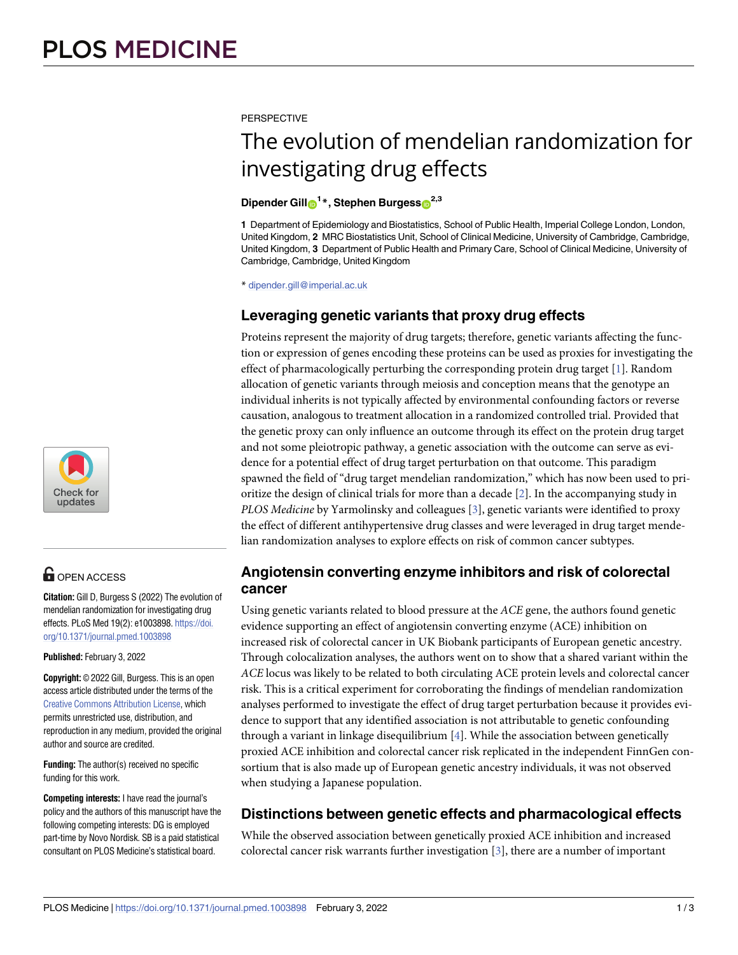<span id="page-0-0"></span>**PERSPECTIVE** 

# The evolution of mendelian randomization for investigating drug effects

#### $\frac{2.3}{100}$  **Dipender** Gill $\frac{1}{10}$ <sup>1</sup>  $*$ , Stephen Burgess $\frac{2.3}{100}$

**1** Department of Epidemiology and Biostatistics, School of Public Health, Imperial College London, London, United Kingdom, **2** MRC Biostatistics Unit, School of Clinical Medicine, University of Cambridge, Cambridge, United Kingdom, **3** Department of Public Health and Primary Care, School of Clinical Medicine, University of Cambridge, Cambridge, United Kingdom

\* dipender.gill@imperial.ac.uk

### Leveraging genetic variants that proxy drug effects

Proteins represent the majority of drug targets; therefore, genetic variants affecting the function or expression of genes encoding these proteins can be used as proxies for investigating the effect of pharmacologically perturbing the corresponding protein drug target [[1\]](#page-1-0). Random allocation of genetic variants through meiosis and conception means that the genotype an individual inherits is not typically affected by environmental confounding factors or reverse causation, analogous to treatment allocation in a randomized controlled trial. Provided that the genetic proxy can only influence an outcome through its effect on the protein drug target and not some pleiotropic pathway, a genetic association with the outcome can serve as evidence for a potential effect of drug target perturbation on that outcome. This paradigm spawned the field of "drug target mendelian randomization," which has now been used to prioritize the design of clinical trials for more than a decade [[2](#page-1-0)]. In the accompanying study in *PLOS Medicine* by Yarmolinsky and colleagues [[3\]](#page-1-0), genetic variants were identified to proxy the effect of different antihypertensive drug classes and were leveraged in drug target mendelian randomization analyses to explore effects on risk of common cancer subtypes.

# **Angiotensin converting enzyme inhibitors and risk of colorectal cancer**

mendelian randomization for investigating drug  $\qquad$  Using genetic variants related to blood pressure at the ACE gene, the authors found genetic evidence supporting an effect of angiotensin converting enzyme (ACE) inhibition on increased risk of colorectal cancer in UK Biobank participants of European genetic ancestry. Through colocalization analyses, the authors went on to show that a shared variant within the *ACE* locus was likely to be related to both circulating ACE protein levels and colorectal cancer risk. This is a critical experiment for corroborating the findings of mendelian randomization analyses performed to investigate the effect of drug target perturbation because it provides evidence to support that any identified association is not attributable to genetic confounding through a variant in linkage disequilibrium [\[4\]](#page-2-0). While the association between genetically proxied ACE inhibition and colorectal cancer risk replicated in the independent FinnGen consortium that is also made up of European genetic ancestry individuals, it was not observed when studying a Japanese population.

# **Distinctions between genetic effects and pharmacological effects**

While the observed association between genetically proxied ACE inhibition and increased colorectal cancer risk warrants further investigation [\[3\]](#page-1-0), there are a number of important



# **OPEN ACCESS**

**Citation:** Gill D, Burgess S (2022) The evolution of effects. PLoS Med 19(2): e1003898. [https://doi.](https://doi.org/10.1371/journal.pmed.1003898) [org/10.1371/journal.pmed.1003898](https://doi.org/10.1371/journal.pmed.1003898)

**Published:** February 3, 2022

**Copyright:** © 2022 Gill, Burgess. This is an open access article distributed under the terms of the Creative Commons [Attribution](http://creativecommons.org/licenses/by/4.0/) License, which permits unrestricted use, distribution, and reproduction in any medium, provided the original author and source are credited.

**Funding:** The author(s) received no specific funding for this work.

**Competing interests:** I have read the journal's policy and the authors of this manuscript have the following competing interests: DG is employed part-time by Novo Nordisk. SB is a paid statistical consultant on PLOS Medicine's statistical board.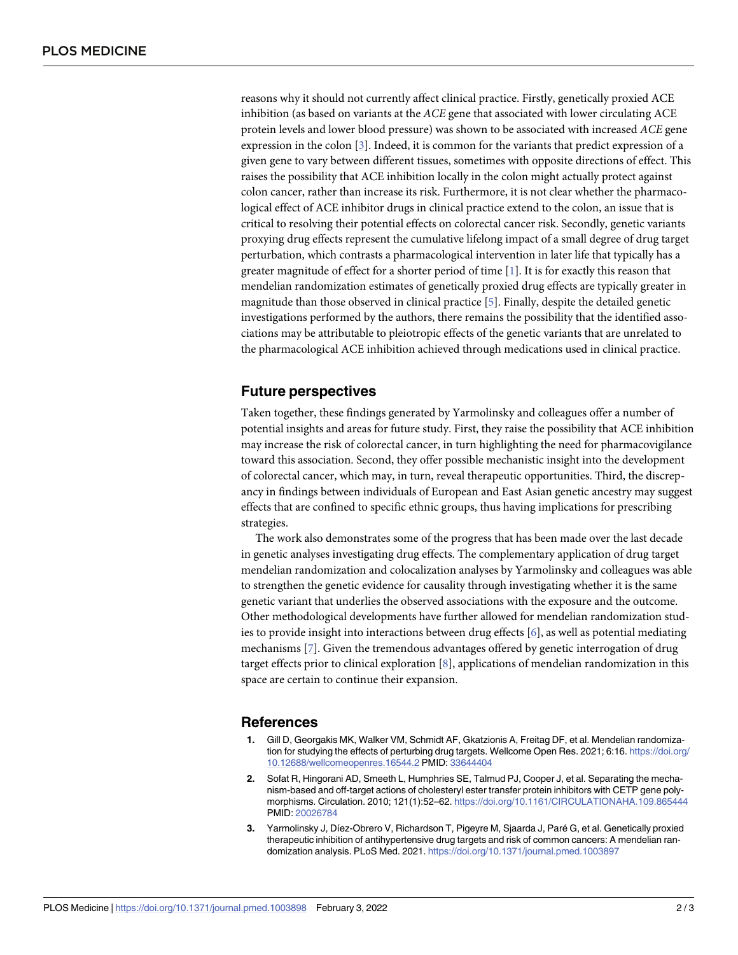<span id="page-1-0"></span>reasons why it should not currently affect clinical practice. Firstly, genetically proxied ACE inhibition (as based on variants at the *ACE* gene that associated with lower circulating ACE protein levels and lower blood pressure) was shown to be associated with increased *ACE* gene expression in the colon [3]. Indeed, it is common for the variants that predict expression of a given gene to vary between different tissues, sometimes with opposite directions of effect. This raises the possibility that ACE inhibition locally in the colon might actually protect against colon cancer, rather than increase its risk. Furthermore, it is not clear whether the pharmacological effect of ACE inhibitor drugs in clinical practice extend to the colon, an issue that is critical to resolving their potential effects on colorectal cancer risk. Secondly, genetic variants proxying drug effects represent the cumulative lifelong impact of a small degree of drug target perturbation, which contrasts a pharmacological intervention in later life that typically has a greater magnitude of effect for a shorter period of time [1]. It is for exactly this reason that mendelian randomization estimates of genetically proxied drug effects are typically greater in magnitude than those observed in clinical practice [\[5\]](#page-2-0). Finally, despite the detailed genetic investigations performed by the authors, there remains the possibility that the identified associations may be attributable to pleiotropic effects of the genetic variants that are unrelated to the pharmacological ACE inhibition achieved through medications used in clinical practice.

#### **Future perspectives**

Taken together, these findings generated by Yarmolinsky and colleagues offer a number of potential insights and areas for future study. First, they raise the possibility that ACE inhibition may increase the risk of colorectal cancer, in turn highlighting the need for pharmacovigilance toward this association. Second, they offer possible mechanistic insight into the development of colorectal cancer, which may, in turn, reveal therapeutic opportunities. Third, the discrepancy in findings between individuals of European and East Asian genetic ancestry may suggest effects that are confined to specific ethnic groups, thus having implications for prescribing strategies.

The work also demonstrates some of the progress that has been made over the last decade in genetic analyses investigating drug effects. The complementary application of drug target mendelian randomization and colocalization analyses by Yarmolinsky and colleagues was able to strengthen the genetic evidence for causality through investigating whether it is the same genetic variant that underlies the observed associations with the exposure and the outcome. Other methodological developments have further allowed for mendelian randomization studies to provide insight into interactions between drug effects  $[6]$  $[6]$  $[6]$ , as well as potential mediating mechanisms [\[7](#page-2-0)]. Given the tremendous advantages offered by genetic interrogation of drug target effects prior to clinical exploration [\[8](#page-2-0)], applications of mendelian randomization in this space are certain to continue their expansion.

#### **References**

- **1.** Gill D, Georgakis MK, Walker VM, Schmidt AF, Gkatzionis A, Freitag DF, et al. Mendelian randomization for studying the effects of perturbing drug targets. Wellcome Open Res. 2021; 6:16. [https://doi.org/](https://doi.org/10.12688/wellcomeopenres.16544.2) [10.12688/wellcomeopenres.16544.2](https://doi.org/10.12688/wellcomeopenres.16544.2) PMID: [33644404](http://www.ncbi.nlm.nih.gov/pubmed/33644404)
- **[2](#page-0-0).** Sofat R, Hingorani AD, Smeeth L, Humphries SE, Talmud PJ, Cooper J, et al. Separating the mechanism-based and off-target actions of cholesteryl ester transfer protein inhibitors with CETP gene polymorphisms. Circulation. 2010; 121(1):52–62. <https://doi.org/10.1161/CIRCULATIONAHA.109.865444> PMID: [20026784](http://www.ncbi.nlm.nih.gov/pubmed/20026784)
- **3.** Yarmolinsky J, Díez-Obrero V, Richardson T, Pigeyre M, Sjaarda J, Paré G, et al. Genetically proxied therapeutic inhibition of antihypertensive drug targets and risk of common cancers: A mendelian randomization analysis. PLoS Med. 2021. <https://doi.org/10.1371/journal.pmed.1003897>